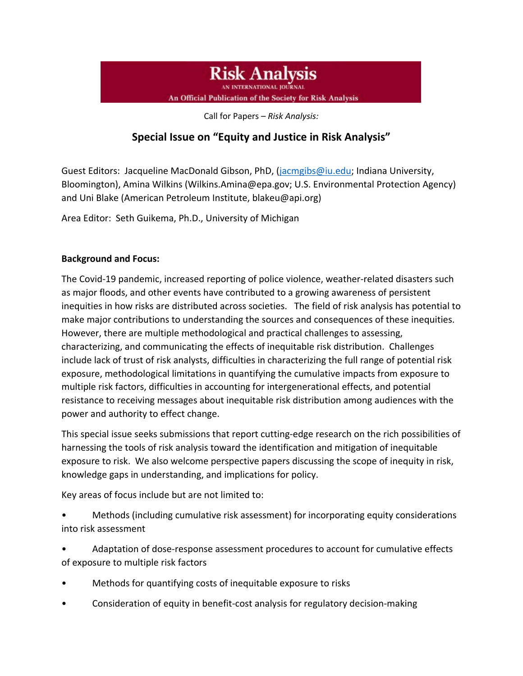**Risk Analysis** 

An Official Publication of the Society for Risk Analysis

Call for Papers – *Risk Analysis:*

## **Special Issue on "Equity and Justice in Risk Analysis"**

Guest Editors: Jacqueline MacDonald Gibson, PhD, [\(jacmgibs@iu.edu;](mailto:jacmgibs@iu.edu) Indiana University, Bloomington), Amina Wilkins (Wilkins.Amina@epa.gov; U.S. Environmental Protection Agency) and Uni Blake (American Petroleum Institute, blakeu@api.org)

Area Editor: Seth Guikema, Ph.D., University of Michigan

## **Background and Focus:**

The Covid-19 pandemic, increased reporting of police violence, weather-related disasters such as major floods, and other events have contributed to a growing awareness of persistent inequities in how risks are distributed across societies. The field of risk analysis has potential to make major contributions to understanding the sources and consequences of these inequities. However, there are multiple methodological and practical challenges to assessing, characterizing, and communicating the effects of inequitable risk distribution. Challenges include lack of trust of risk analysts, difficulties in characterizing the full range of potential risk exposure, methodological limitations in quantifying the cumulative impacts from exposure to multiple risk factors, difficulties in accounting for intergenerational effects, and potential resistance to receiving messages about inequitable risk distribution among audiences with the power and authority to effect change.

This special issue seeks submissions that report cutting-edge research on the rich possibilities of harnessing the tools of risk analysis toward the identification and mitigation of inequitable exposure to risk. We also welcome perspective papers discussing the scope of inequity in risk, knowledge gaps in understanding, and implications for policy.

Key areas of focus include but are not limited to:

- Methods (including cumulative risk assessment) for incorporating equity considerations into risk assessment
- Adaptation of dose-response assessment procedures to account for cumulative effects of exposure to multiple risk factors
- Methods for quantifying costs of inequitable exposure to risks
- Consideration of equity in benefit-cost analysis for regulatory decision-making